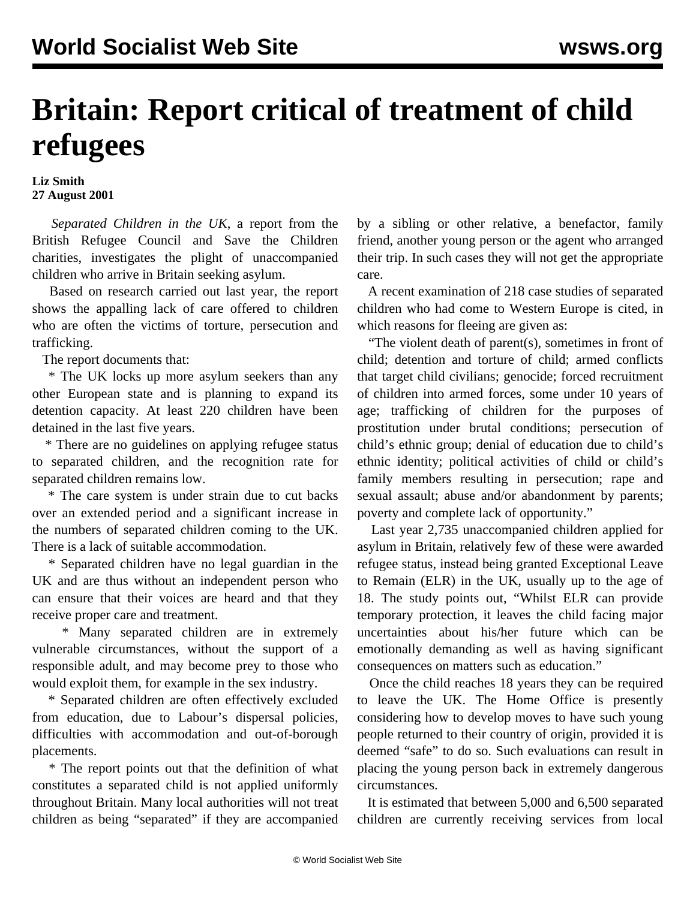## **Britain: Report critical of treatment of child refugees**

## **Liz Smith 27 August 2001**

 *Separated Children in the UK*, a report from the British Refugee Council and Save the Children charities, investigates the plight of unaccompanied children who arrive in Britain seeking asylum.

 Based on research carried out last year, the report shows the appalling lack of care offered to children who are often the victims of torture, persecution and trafficking.

The report documents that:

 \* The UK locks up more asylum seekers than any other European state and is planning to expand its detention capacity. At least 220 children have been detained in the last five years.

 \* There are no guidelines on applying refugee status to separated children, and the recognition rate for separated children remains low.

 \* The care system is under strain due to cut backs over an extended period and a significant increase in the numbers of separated children coming to the UK. There is a lack of suitable accommodation.

 \* Separated children have no legal guardian in the UK and are thus without an independent person who can ensure that their voices are heard and that they receive proper care and treatment.

 \* Many separated children are in extremely vulnerable circumstances, without the support of a responsible adult, and may become prey to those who would exploit them, for example in the sex industry.

 \* Separated children are often effectively excluded from education, due to Labour's dispersal policies, difficulties with accommodation and out-of-borough placements.

 \* The report points out that the definition of what constitutes a separated child is not applied uniformly throughout Britain. Many local authorities will not treat children as being "separated" if they are accompanied

by a sibling or other relative, a benefactor, family friend, another young person or the agent who arranged their trip. In such cases they will not get the appropriate care.

 A recent examination of 218 case studies of separated children who had come to Western Europe is cited, in which reasons for fleeing are given as:

 "The violent death of parent(s), sometimes in front of child; detention and torture of child; armed conflicts that target child civilians; genocide; forced recruitment of children into armed forces, some under 10 years of age; trafficking of children for the purposes of prostitution under brutal conditions; persecution of child's ethnic group; denial of education due to child's ethnic identity; political activities of child or child's family members resulting in persecution; rape and sexual assault; abuse and/or abandonment by parents; poverty and complete lack of opportunity."

 Last year 2,735 unaccompanied children applied for asylum in Britain, relatively few of these were awarded refugee status, instead being granted Exceptional Leave to Remain (ELR) in the UK, usually up to the age of 18. The study points out, "Whilst ELR can provide temporary protection, it leaves the child facing major uncertainties about his/her future which can be emotionally demanding as well as having significant consequences on matters such as education."

 Once the child reaches 18 years they can be required to leave the UK. The Home Office is presently considering how to develop moves to have such young people returned to their country of origin, provided it is deemed "safe" to do so. Such evaluations can result in placing the young person back in extremely dangerous circumstances.

 It is estimated that between 5,000 and 6,500 separated children are currently receiving services from local